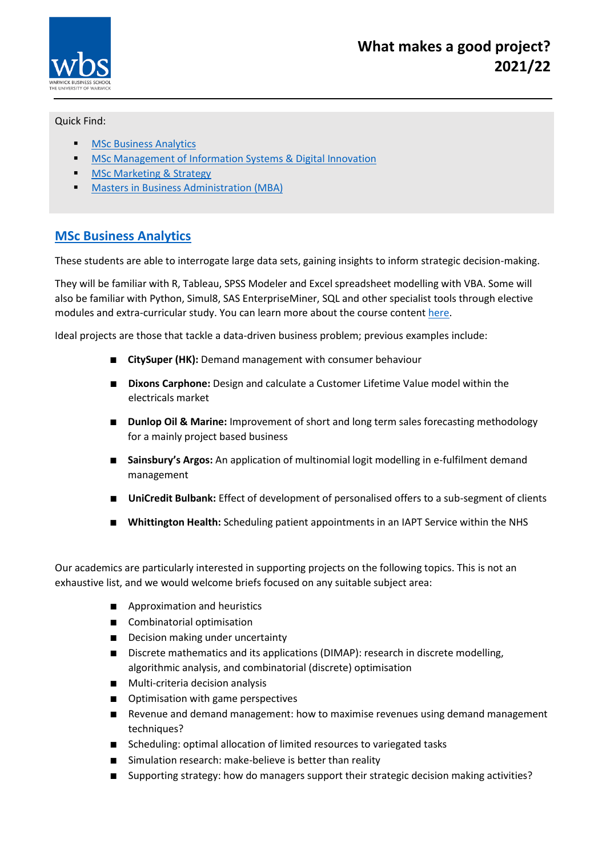

#### Quick Find:

- **[MSc Business Analytics](#page-0-0)**
- **MSC Management of Information Systems & Digital Innovation**
- **[MSc Marketing & Strategy](#page-2-0)**
- **[Masters in Business Administration](#page-3-0) (MBA)**

### <span id="page-0-0"></span>**MSc [Business Analytics](https://www.wbs.ac.uk/courses/postgraduate/business-analytics/)**

These students are able to interrogate large data sets, gaining insights to inform strategic decision-making.

They will be familiar with R, Tableau, SPSS Modeler and Excel spreadsheet modelling with VBA. Some will also be familiar with Python, Simul8, SAS EnterpriseMiner, SQL and other specialist tools through elective modules and extra-curricular study. You can learn more about the course content [here.](https://www.wbs.ac.uk/courses/postgraduate/business-analytics/details/#more)

Ideal projects are those that tackle a data-driven business problem; previous examples include:

- **CitySuper (HK):** Demand management with consumer behaviour
- **Dixons Carphone:** Design and calculate a Customer Lifetime Value model within the electricals market
- **Dunlop Oil & Marine:** Improvement of short and long term sales forecasting methodology for a mainly project based business
- **Sainsbury's Argos:** An application of multinomial logit modelling in e-fulfilment demand management
- **UniCredit Bulbank:** Effect of development of personalised offers to a sub-segment of clients
- **Whittington Health:** Scheduling patient appointments in an IAPT Service within the NHS

Our academics are particularly interested in supporting projects on the following topics. This is not an exhaustive list, and we would welcome briefs focused on any suitable subject area:

- Approximation and heuristics
- Combinatorial optimisation
- Decision making under uncertainty
- Discrete mathematics and its applications (DIMAP): research in discrete modelling, algorithmic analysis, and combinatorial (discrete) optimisation
- Multi-criteria decision analysis
- Optimisation with game perspectives
- Revenue and demand management: how to maximise revenues using demand management techniques?
- Scheduling: optimal allocation of limited resources to variegated tasks
- Simulation research: make-believe is better than reality
- Supporting strategy: how do managers support their strategic decision making activities?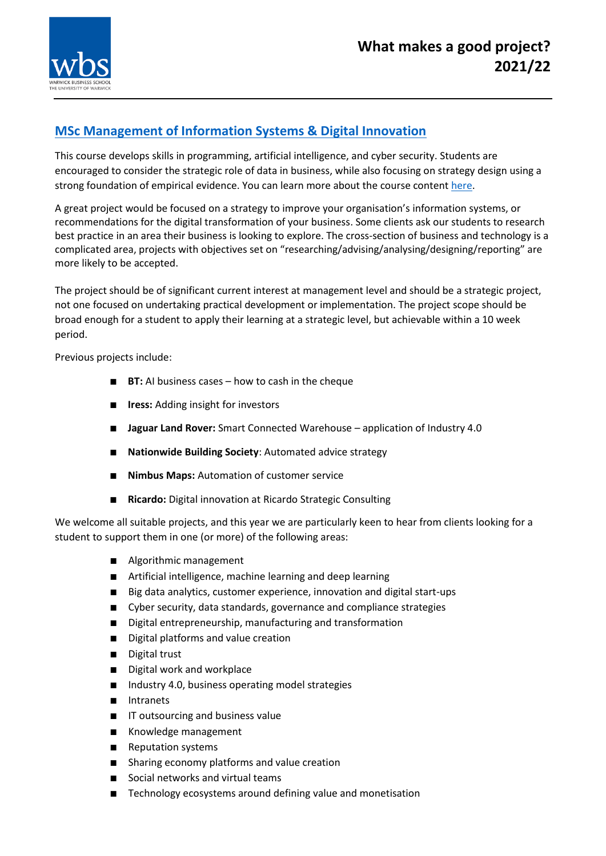

# <span id="page-1-0"></span>**[MSc Management of Information Systems & Digital Innovation](https://www.wbs.ac.uk/courses/postgraduate/management-of-information-systems/)**

This course develops skills in programming, artificial intelligence, and cyber security. Students are encouraged to consider the strategic role of data in business, while also focusing on strategy design using a strong foundation of empirical evidence. You can learn more about the course content [here.](https://www.wbs.ac.uk/courses/postgraduate/management-of-information-systems/details/#more)

A great project would be focused on a strategy to improve your organisation's information systems, or recommendations for the digital transformation of your business. Some clients ask our students to research best practice in an area their business is looking to explore. The cross-section of business and technology is a complicated area, projects with objectives set on "researching/advising/analysing/designing/reporting" are more likely to be accepted.

The project should be of significant current interest at management level and should be a strategic project, not one focused on undertaking practical development or implementation. The project scope should be broad enough for a student to apply their learning at a strategic level, but achievable within a 10 week period.

Previous projects include:

- **BT:** AI business cases how to cash in the cheque
- **Iress:** Adding insight for investors
- **Jaguar Land Rover:** Smart Connected Warehouse application of Industry 4.0
- **Nationwide Building Society**: Automated advice strategy
- **Nimbus Maps:** Automation of customer service
- **Ricardo:** Digital innovation at Ricardo Strategic Consulting

We welcome all suitable projects, and this year we are particularly keen to hear from clients looking for a student to support them in one (or more) of the following areas:

- Algorithmic management
- Artificial intelligence, machine learning and deep learning
- Big data analytics, customer experience, innovation and digital start-ups
- Cyber security, data standards, governance and compliance strategies
- Digital entrepreneurship, manufacturing and transformation
- Digital platforms and value creation
- Digital trust
- Digital work and workplace
- Industry 4.0, business operating model strategies
- Intranets
- IT outsourcing and business value
- Knowledge management
- Reputation systems
- Sharing economy platforms and value creation
- Social networks and virtual teams
- Technology ecosystems around defining value and monetisation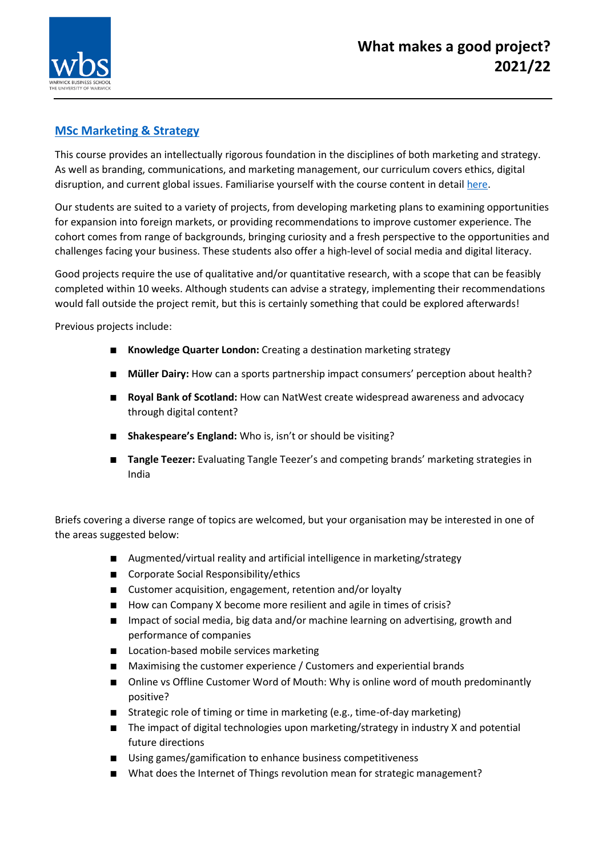

#### <span id="page-2-0"></span>**[MSc Marketing & Strategy](https://www.wbs.ac.uk/courses/postgraduate/marketing-and-strategy/details/)**

This course provides an intellectually rigorous foundation in the disciplines of both marketing and strategy. As well as branding, communications, and marketing management, our curriculum covers ethics, digital disruption, and current global issues. Familiarise yourself with the course content in detai[l here.](https://www.wbs.ac.uk/courses/postgraduate/marketing-and-strategy/details/#more)

Our students are suited to a variety of projects, from developing marketing plans to examining opportunities for expansion into foreign markets, or providing recommendations to improve customer experience. The cohort comes from range of backgrounds, bringing curiosity and a fresh perspective to the opportunities and challenges facing your business. These students also offer a high-level of social media and digital literacy.

Good projects require the use of qualitative and/or quantitative research, with a scope that can be feasibly completed within 10 weeks. Although students can advise a strategy, implementing their recommendations would fall outside the project remit, but this is certainly something that could be explored afterwards!

Previous projects include:

- **Knowledge Quarter London:** Creating a destination marketing strategy
- **Müller Dairy:** How can a sports partnership impact consumers' perception about health?
- **Royal Bank of Scotland:** How can NatWest create widespread awareness and advocacy through digital content?
- **Shakespeare's England:** Who is, isn't or should be visiting?
- **Tangle Teezer:** Evaluating Tangle Teezer's and competing brands' marketing strategies in India

Briefs covering a diverse range of topics are welcomed, but your organisation may be interested in one of the areas suggested below:

- Augmented/virtual reality and artificial intelligence in marketing/strategy
- Corporate Social Responsibility/ethics
- Customer acquisition, engagement, retention and/or loyalty
- How can Company X become more resilient and agile in times of crisis?
- Impact of social media, big data and/or machine learning on advertising, growth and performance of companies
- Location-based mobile services marketing
- Maximising the customer experience / Customers and experiential brands
- Online vs Offline Customer Word of Mouth: Why is online word of mouth predominantly positive?
- Strategic role of timing or time in marketing (e.g., time-of-day marketing)
- The impact of digital technologies upon marketing/strategy in industry X and potential future directions
- Using games/gamification to enhance business competitiveness
- What does the Internet of Things revolution mean for strategic management?